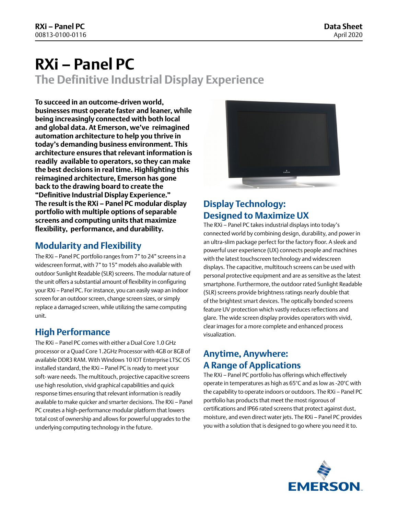# **RXi – Panel PC The Definitive Industrial Display Experience**

**To succeed in an outcome-driven world, businesses must operate faster and leaner, while being increasingly connected with both local and global data. At Emerson, we've reimagined automation architecture to help you thrive in today's demanding business environment. This architecture ensures that relevant information is readily available to operators, so they can make the best decisions in real time. Highlighting this reimagined architecture, Emerson has gone back to the drawing board to create the "Definitive Industrial Display Experience." The result is the RXi – Panel PC modular display portfolio with multiple options of separable screens and computing units that maximize flexibility, performance, and durability.**

#### **Modularity and Flexibility**

The RXi – Panel PC portfolio ranges from 7" to 24" screens in a widescreen format, with 7" to 15" models also available with outdoor Sunlight Readable (SLR) screens. The modular nature of the unit offers a substantial amount of flexibility in configuring your RXi – Panel PC. For instance, you can easily swap an indoor screen for an outdoor screen, change screen sizes, or simply replace a damaged screen, while utilizing the same computing unit.

#### **High Performance**

The RXi – Panel PC comes with either a Dual Core 1.0 GHz processor or a Quad Core 1.2GHz Processor with 4GB or 8GB of available DDR3 RAM. With Windows 10 IOT Enterprise LTSC OS installed standard, the RXi – Panel PC is ready to meet your soft- ware needs. The multitouch, projective capacitive screens use high resolution, vivid graphical capabilities and quick response times ensuring that relevant information is readily available to make quicker and smarter decisions. The RXi – Panel PC creates a high-performance modular platform that lowers total cost of ownership and allows for powerful upgrades to the underlying computing technology in the future.



### **Display Technology: Designed to Maximize UX**

The RXi – Panel PC takes industrial displays into today's connected world by combining design, durability, and power in an ultra-slim package perfect for the factory floor. A sleek and powerful user experience (UX) connects people and machines with the latest touchscreen technology and widescreen displays. The capacitive, multitouch screens can be used with personal protective equipment and are as sensitive as the latest smartphone. Furthermore, the outdoor rated Sunlight Readable (SLR) screens provide brightness ratings nearly double that of the brightest smart devices. The optically bonded screens feature UV protection which vastly reduces reflections and glare. The wide screen display provides operators with vivid, clear images for a more complete and enhanced process visualization.

#### **Anytime, Anywhere: A Range of Applications**

The RXi – Panel PC portfolio has offerings which effectively operate in temperatures as high as 65°C and as low as -20°C with the capability to operate indoors or outdoors. The RXi – Panel PC portfolio has products that meet the most rigorous of certifications and IP66 rated screens that protect against dust, moisture, and even direct water jets. The RXi – Panel PC provides you with a solution that is designed to go where you need it to.

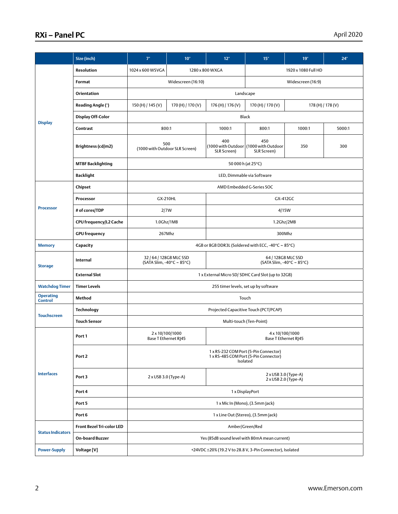#### **RXi – Panel PC** April 2020

|                                    | Size (inch)                      | 7"                                                                                         | 10" | 12"                                             | 15"                                                           | 19"    | 24"    |
|------------------------------------|----------------------------------|--------------------------------------------------------------------------------------------|-----|-------------------------------------------------|---------------------------------------------------------------|--------|--------|
| <b>Display</b>                     | Resolution                       | 1024 x 600 WSVGA                                                                           |     | 1280 x 800 WXGA                                 | 1920 x 1080 Full HD                                           |        |        |
|                                    | Format                           | Widescreen (16:10)                                                                         |     |                                                 | Widescreen (16:9)                                             |        |        |
|                                    | Orientation                      | Landscape                                                                                  |     |                                                 |                                                               |        |        |
|                                    | Reading Angle (°)                | 170 (H) / 170 (V)<br>150 (H) / 145 (V)                                                     |     | 176 (H) / 176 (V)                               | 170 (H) / 170 (V)<br>178 (H) / 178 (V)                        |        |        |
|                                    | <b>Display Off-Color</b>         | <b>Black</b>                                                                               |     |                                                 |                                                               |        |        |
|                                    | Contrast                         | 800:1                                                                                      |     | 1000:1                                          | 800:1                                                         | 1000:1 | 5000:1 |
|                                    | Brightness (cd/m2)               | 500<br>(1000 with Outdoor SLR Screen)                                                      |     | 400<br>SLR Screen)                              | 450<br>(1000 with Outdoor   (1000 with Outdoor<br>SLR Screen) | 350    | 300    |
|                                    | <b>MTBF Backlighting</b>         | 50 000 h (at 25°C)                                                                         |     |                                                 |                                                               |        |        |
|                                    | <b>Backlight</b>                 | LED, Dimmable via Software                                                                 |     |                                                 |                                                               |        |        |
| <b>Processor</b>                   | Chipset                          | AMD Embedded G-Series SOC                                                                  |     |                                                 |                                                               |        |        |
|                                    | Processor                        | GX-210HL                                                                                   |     | GX-412GC                                        |                                                               |        |        |
|                                    | # of cores/TDP                   | 2/7W                                                                                       |     | 4/15W                                           |                                                               |        |        |
|                                    | CPU frequency/L2 Cache           | 1.0Ghz/1MB                                                                                 |     | 1.2Ghz/2MB                                      |                                                               |        |        |
|                                    | <b>GPU</b> frequency             | 267Mhz                                                                                     |     | 300Mhz                                          |                                                               |        |        |
| <b>Memory</b>                      | Capacity                         | 4GB or 8GB DDR3L (Soldered with ECC, -40°C ~ 85°C)                                         |     |                                                 |                                                               |        |        |
| <b>Storage</b>                     | Internal                         | 32 / 64 / 128GB MLC SSD<br>(SATA Slim, -40 $\degree$ C ~ 85 $\degree$ C)                   |     | 64 / 128GB MLC SSD<br>(SATA Slim, -40°C ~ 85°C) |                                                               |        |        |
|                                    | <b>External Slot</b>             | 1 x External Micro SD/ SDHC Card Slot (up to 32GB)                                         |     |                                                 |                                                               |        |        |
| <b>Watchdog Timer</b>              | <b>Timer Levels</b>              | 255 timer levels, set up by software                                                       |     |                                                 |                                                               |        |        |
| <b>Operating</b><br><b>Control</b> | Method                           | Touch                                                                                      |     |                                                 |                                                               |        |        |
| <b>Touchscreen</b>                 | Technology                       | Projected Capacitive Touch (PCT/PCAP)                                                      |     |                                                 |                                                               |        |        |
|                                    | <b>Touch Sensor</b>              | Multi-touch (Ten-Point)                                                                    |     |                                                 |                                                               |        |        |
| <b>Interfaces</b>                  | Port 1                           | 2 x 10/100/1000<br>Base T Ethernet RI45                                                    |     | 4 x 10/100/1000<br>Base T Ethernet R 45         |                                                               |        |        |
|                                    | Port <sub>2</sub>                | 1 x RS-232 COM Port (5-Pin Connector)<br>1 x RS-485 COM Port (5-Pin Connector)<br>Isolated |     |                                                 |                                                               |        |        |
|                                    | Port 3                           | 2 x USB 3.0 (Type-A)                                                                       |     | 2 x USB 3.0 (Type-A)<br>2 x USB 2.0 (Type-A)    |                                                               |        |        |
|                                    | Port 4                           | 1 x DisplayPort                                                                            |     |                                                 |                                                               |        |        |
|                                    | Port 5                           | 1 x Mic In (Mono), (3.5mm Jack)                                                            |     |                                                 |                                                               |        |        |
|                                    | Port 6                           | 1 x Line Out (Stereo), (3.5mm Jack)                                                        |     |                                                 |                                                               |        |        |
| <b>Status Indicators</b>           | <b>Front Bezel Tri-color LED</b> | Amber/Green/Red                                                                            |     |                                                 |                                                               |        |        |
|                                    | <b>On-board Buzzer</b>           | Yes (85dB sound level with 80mA mean current)                                              |     |                                                 |                                                               |        |        |
| <b>Power-Supply</b>                | Voltage [V]                      | +24VDC ±20% (19.2 V to 28.8 V, 3-Pin Connector), Isolated                                  |     |                                                 |                                                               |        |        |